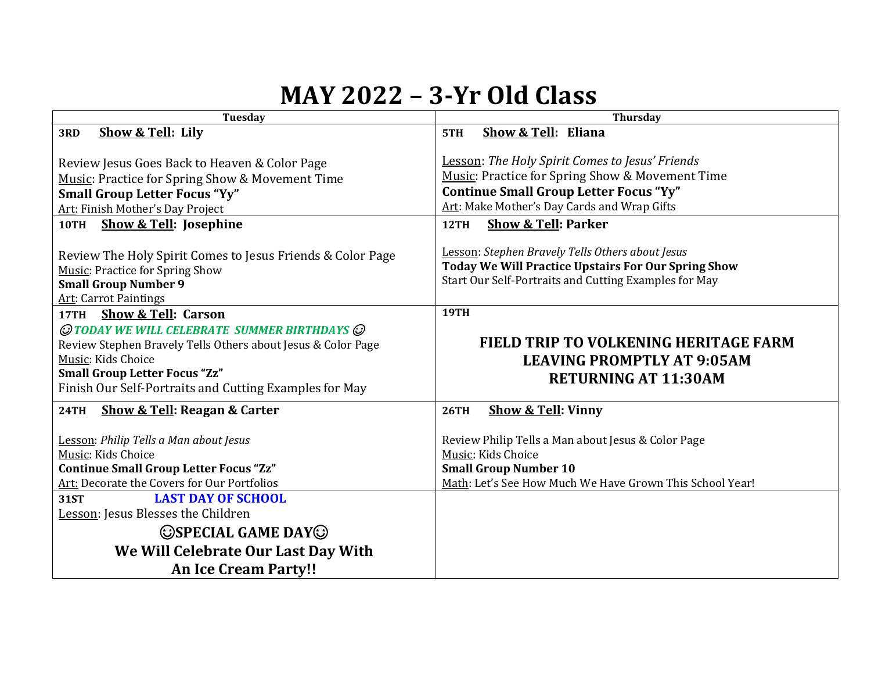## **MAY 2022 – 3-Yr Old Class**

| <b>Tuesday</b>                                                                                                                                                                                                                                                                         | <b>Thursday</b>                                                                                                                                                                                    |
|----------------------------------------------------------------------------------------------------------------------------------------------------------------------------------------------------------------------------------------------------------------------------------------|----------------------------------------------------------------------------------------------------------------------------------------------------------------------------------------------------|
| Show & Tell: Lily<br>3RD                                                                                                                                                                                                                                                               | Show & Tell: Eliana<br>5TH                                                                                                                                                                         |
| Review Jesus Goes Back to Heaven & Color Page<br>Music: Practice for Spring Show & Movement Time<br><b>Small Group Letter Focus "Yy"</b><br>Art: Finish Mother's Day Project                                                                                                           | Lesson: The Holy Spirit Comes to Jesus' Friends<br>Music: Practice for Spring Show & Movement Time<br><b>Continue Small Group Letter Focus "Yy"</b><br>Art: Make Mother's Day Cards and Wrap Gifts |
| <b>Show &amp; Tell: Josephine</b><br>10TH                                                                                                                                                                                                                                              | <b>Show &amp; Tell: Parker</b><br>12TH                                                                                                                                                             |
| Review The Holy Spirit Comes to Jesus Friends & Color Page<br><b>Music: Practice for Spring Show</b><br><b>Small Group Number 9</b><br><b>Art: Carrot Paintings</b>                                                                                                                    | Lesson: Stephen Bravely Tells Others about Jesus<br>Today We Will Practice Upstairs For Our Spring Show<br>Start Our Self-Portraits and Cutting Examples for May                                   |
| 17TH Show & Tell: Carson<br>$\mathcal O$ today we will celebrate summer birthdays $\mathcal O$<br>Review Stephen Bravely Tells Others about Jesus & Color Page<br>Music: Kids Choice<br><b>Small Group Letter Focus "Zz"</b><br>Finish Our Self-Portraits and Cutting Examples for May | <b>19TH</b><br>FIELD TRIP TO VOLKENING HERITAGE FARM<br><b>LEAVING PROMPTLY AT 9:05AM</b><br><b>RETURNING AT 11:30AM</b>                                                                           |
| <b>Show &amp; Tell: Reagan &amp; Carter</b><br><b>24TH</b>                                                                                                                                                                                                                             | <b>Show &amp; Tell: Vinny</b><br><b>26TH</b>                                                                                                                                                       |
| Lesson: Philip Tells a Man about Jesus<br>Music: Kids Choice<br><b>Continue Small Group Letter Focus "Zz"</b><br>Art: Decorate the Covers for Our Portfolios                                                                                                                           | Review Philip Tells a Man about Jesus & Color Page<br>Music: Kids Choice<br><b>Small Group Number 10</b><br>Math: Let's See How Much We Have Grown This School Year!                               |
| <b>LAST DAY OF SCHOOL</b><br><b>31ST</b>                                                                                                                                                                                                                                               |                                                                                                                                                                                                    |
| Lesson: Jesus Blesses the Children                                                                                                                                                                                                                                                     |                                                                                                                                                                                                    |
| <b>OSPECIAL GAME DAYO</b>                                                                                                                                                                                                                                                              |                                                                                                                                                                                                    |
| We Will Celebrate Our Last Day With                                                                                                                                                                                                                                                    |                                                                                                                                                                                                    |
| <b>An Ice Cream Party!!</b>                                                                                                                                                                                                                                                            |                                                                                                                                                                                                    |